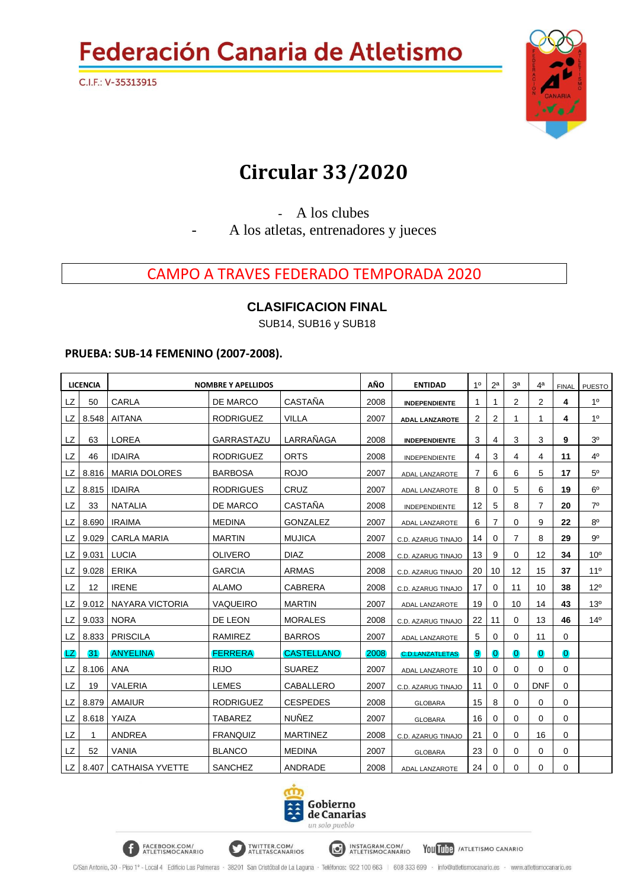

### **Circular 33/2020**

- A los clubes - A los atletas, entrenadores y jueces

### CAMPO A TRAVES FEDERADO TEMPORADA 2020

#### **CLASIFICACION FINAL**

SUB14, SUB16 y SUB18

#### **PRUEBA: SUB-14 FEMENINO (2007-2008).**

FACEBOOK.COM/<br>ATLETISMOCANARIO

|           | <b>LICENCIA</b> |                        | <b>NOMBRE Y APELLIDOS</b> |                   | AÑO  | <b>ENTIDAD</b>         | 1 <sup>0</sup> | 2 <sup>a</sup> | 3 <sup>a</sup> | 4ª             | <b>FINAL</b>   | <b>PUESTO</b>   |
|-----------|-----------------|------------------------|---------------------------|-------------------|------|------------------------|----------------|----------------|----------------|----------------|----------------|-----------------|
| LZ        | 50              | <b>CARLA</b>           | <b>DE MARCO</b>           | <b>CASTAÑA</b>    | 2008 | <b>INDEPENDIENTE</b>   |                |                | 2              | $\overline{2}$ | 4              | 1 <sup>0</sup>  |
| LZ        | 8.548           | <b>AITANA</b>          | <b>RODRIGUEZ</b>          | <b>VILLA</b>      | 2007 | <b>ADAL LANZAROTE</b>  | $\overline{2}$ | 2              |                | 1              | 4              | 10              |
| <b>LZ</b> | 63              | <b>LOREA</b>           | GARRASTAZU                | LARRAÑAGA         | 2008 | <b>INDEPENDIENTE</b>   | 3              | 4              | 3              | 3              | 9              | 3 <sup>o</sup>  |
| <b>LZ</b> | 46              | <b>IDAIRA</b>          | <b>RODRIGUEZ</b>          | <b>ORTS</b>       | 2008 | INDEPENDIENTE          | 4              | 3              | 4              | 4              | 11             | 4 <sup>0</sup>  |
| LZ        | 8.816           | <b>MARIA DOLORES</b>   | <b>BARBOSA</b>            | <b>ROJO</b>       | 2007 | <b>ADAL LANZAROTE</b>  | 7              | 6              | 6              | 5              | 17             | 5 <sup>0</sup>  |
| LZ        | 8.815           | <b>IDAIRA</b>          | <b>RODRIGUES</b>          | <b>CRUZ</b>       | 2007 | <b>ADAL LANZAROTE</b>  | 8              | 0              | 5              | 6              | 19             | 6 <sup>o</sup>  |
| LZ        | 33              | <b>NATALIA</b>         | DE MARCO                  | <b>CASTAÑA</b>    | 2008 | <b>INDEPENDIENTE</b>   | 12             | 5              | 8              | 7              | 20             | $7^\circ$       |
| LZ.       | 8.690           | <b>IRAIMA</b>          | <b>MEDINA</b>             | <b>GONZALEZ</b>   | 2007 | <b>ADAL LANZAROTE</b>  | 6              | 7              | 0              | 9              | 22             | $8^{\circ}$     |
| LZ        | 9.029           | <b>CARLA MARIA</b>     | <b>MARTIN</b>             | <b>MUJICA</b>     | 2007 | C.D. AZARUG TINAJO     | 14             | 0              | 7              | 8              | 29             | $9^{\circ}$     |
| LZ        | 9.031           | <b>LUCIA</b>           | <b>OLIVERO</b>            | <b>DIAZ</b>       | 2008 | C.D. AZARUG TINAJO     | 13             | 9              | 0              | 12             | 34             | 10 <sup>o</sup> |
| LZ        | 9.028           | <b>ERIKA</b>           | <b>GARCIA</b>             | <b>ARMAS</b>      | 2008 | C.D. AZARUG TINAJO     | 20             | 10             | 12             | 15             | 37             | 11 <sup>°</sup> |
| <b>LZ</b> | 12              | <b>IRENE</b>           | <b>ALAMO</b>              | <b>CABRERA</b>    | 2008 | C.D. AZARUG TINAJO     | 17             | $\Omega$       | 11             | 10             | 38             | $12^{\circ}$    |
| LZ        | 9.012           | NAYARA VICTORIA        | <b>VAQUEIRO</b>           | <b>MARTIN</b>     | 2007 | ADAL LANZAROTE         | 19             | 0              | 10             | 14             | 43             | 13 <sup>o</sup> |
| LZ.       | 9.033           | <b>NORA</b>            | DE LEON                   | <b>MORALES</b>    | 2008 | C.D. AZARUG TINAJO     | 22             | 11             | 0              | 13             | 46             | 14 <sup>°</sup> |
| LZ        | 8.833           | <b>PRISCILA</b>        | RAMIREZ                   | <b>BARROS</b>     | 2007 | ADAL LANZAROTE         | 5              | 0              | 0              | 11             | $\mathbf 0$    |                 |
| LZ)       | 31              | <b>ANYELINA</b>        | <b>FERRERA</b>            | <b>CASTELLANO</b> | 2008 | <b>C.D.LANZATLETAS</b> | 9              | $\overline{0}$ | $\Omega$       | $\overline{0}$ | $\overline{0}$ |                 |
| LZ.       | 8.106           | ANA                    | <b>RIJO</b>               | <b>SUAREZ</b>     | 2007 | ADAL LANZAROTE         | 10             | $\mathbf 0$    | 0              | 0              | 0              |                 |
| LZ        | 19              | <b>VALERIA</b>         | <b>LEMES</b>              | <b>CABALLERO</b>  | 2007 | C.D. AZARUG TINAJO     | 11             | 0              | 0              | <b>DNF</b>     | $\Omega$       |                 |
| LZ        | 8.879           | <b>AMAIUR</b>          | <b>RODRIGUEZ</b>          | <b>CESPEDES</b>   | 2008 | <b>GLOBARA</b>         | 15             | 8              | 0              | 0              | $\Omega$       |                 |
| LZ        | 8.618           | YAIZA                  | <b>TABAREZ</b>            | <b>NUÑEZ</b>      | 2007 | <b>GLOBARA</b>         | 16             | 0              | 0              | 0              | $\Omega$       |                 |
| <b>LZ</b> |                 | <b>ANDREA</b>          | <b>FRANQUIZ</b>           | <b>MARTINEZ</b>   | 2008 | C.D. AZARUG TINAJO     | 21             | 0              | 0              | 16             | 0              |                 |
| LZ        | 52              | <b>VANIA</b>           | <b>BLANCO</b>             | <b>MEDINA</b>     | 2007 | <b>GLOBARA</b>         | 23             | 0              | 0              | 0              | $\Omega$       |                 |
| LZ I      | 8.407           | <b>CATHAISA YVETTE</b> | <b>SANCHEZ</b>            | ANDRADE           | 2008 | <b>ADAL LANZAROTE</b>  | 24             | $\Omega$       | 0              | 0              | $\Omega$       |                 |



INSTAGRAM.COM/<br>ATLETISMOCANARIO

You Tube / ATLETISMO CANARIO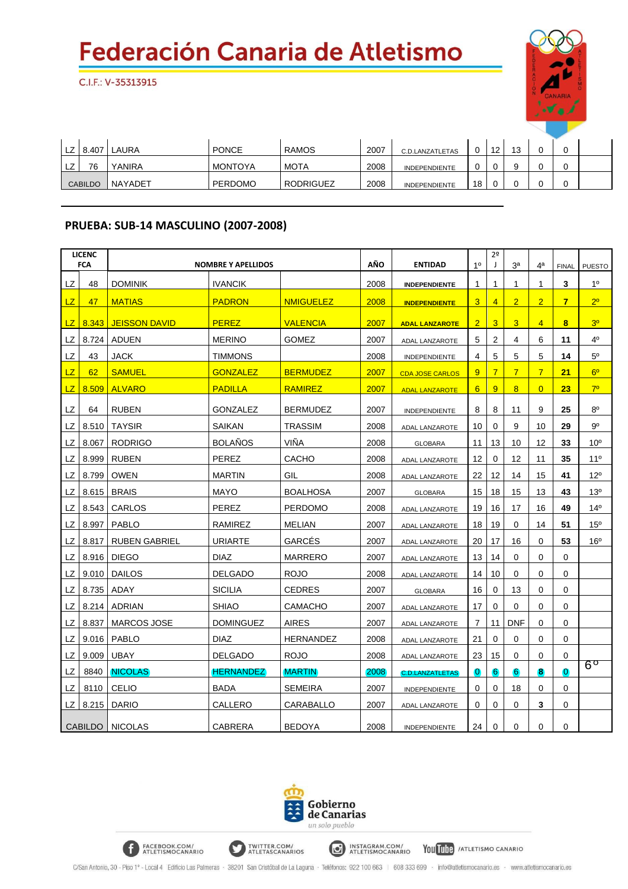C.I.F.: V-35313915



|   | 8.407          | .AURA   | <b>PONCE</b>   | <b>RAMOS</b>     | 2007 | C.D.LANZATLETAS      |    | 12 | $\overline{A}$<br>. U |  |  |
|---|----------------|---------|----------------|------------------|------|----------------------|----|----|-----------------------|--|--|
| ᅩ | 76             | YANIRA  | <b>MONTOYA</b> | <b>MOTA</b>      | 2008 | <b>INDEPENDIENTE</b> |    |    |                       |  |  |
|   | <b>CABILDO</b> | NAYADET | <b>PERDOMO</b> | <b>RODRIGUEZ</b> | 2008 | <b>INDEPENDIENTE</b> | 18 |    |                       |  |  |

#### **PRUEBA: SUB-14 MASCULINO (2007-2008)**

FACEBOOK.COM/

|           | <b>LICENC</b><br><b>FCA</b> |                          | <b>NOMBRE Y APELLIDOS</b> |                  | AÑO  | <b>ENTIDAD</b>         | 1 <sup>0</sup> | 2 <sup>o</sup><br>$\overline{\phantom{a}}$ | За             | 4ª             | <b>FINAL</b>            | <b>PUESTO</b>   |
|-----------|-----------------------------|--------------------------|---------------------------|------------------|------|------------------------|----------------|--------------------------------------------|----------------|----------------|-------------------------|-----------------|
| LZ        | 48                          | <b>DOMINIK</b>           | <b>IVANCIK</b>            |                  | 2008 | <b>INDEPENDIENTE</b>   | 1              | $\mathbf{1}$                               | 1              | $\mathbf{1}$   | 3                       | 1 <sup>0</sup>  |
| LZ        | 47                          | <b>MATIAS</b>            | <b>PADRON</b>             | <b>NMIGUELEZ</b> | 2008 | <b>INDEPENDIENTE</b>   | 3              | $\overline{4}$                             | $\overline{2}$ | $\overline{2}$ | $\overline{\mathbf{r}}$ | 2 <sup>0</sup>  |
|           |                             |                          |                           |                  |      |                        |                |                                            |                |                |                         | 3 <sup>0</sup>  |
| <b>LZ</b> | 8.343                       | <b>JEISSON DAVID</b>     | <b>PEREZ</b>              | <b>VALENCIA</b>  | 2007 | <b>ADAL LANZAROTE</b>  | $\overline{2}$ | 3                                          | 3              | $\overline{4}$ | 8                       |                 |
| LZ        | 8.724                       | <b>ADUEN</b>             | <b>MERINO</b>             | <b>GOMEZ</b>     | 2007 | <b>ADAL LANZAROTE</b>  | 5              | $\overline{2}$                             | 4              | 6              | 11                      | 40              |
| LZ        | 43                          | <b>JACK</b>              | <b>TIMMONS</b>            |                  | 2008 | INDEPENDIENTE          | 4              | 5                                          | 5              | 5              | 14                      | $5^{\circ}$     |
| LZ        | 62                          | <b>SAMUEL</b>            | <b>GONZALEZ</b>           | <b>BERMUDEZ</b>  | 2007 | <b>CDA JOSE CARLOS</b> | 9              | $\overline{7}$                             | $\overline{7}$ | $\overline{7}$ | 21                      | 6 <sup>o</sup>  |
| LZ        | 8.509                       | <b>ALVARO</b>            | <b>PADILLA</b>            | <b>RAMIREZ</b>   | 2007 | <b>ADAL LANZAROTE</b>  | 6              | 9                                          | 8              | $\overline{0}$ | 23                      | 70              |
| LZ        | 64                          | <b>RUBEN</b>             | <b>GONZALEZ</b>           | <b>BERMUDEZ</b>  | 2007 | INDEPENDIENTE          | 8              | 8                                          | 11             | 9              | 25                      | $8^{\circ}$     |
| LZ        | 8.510                       | <b>TAYSIR</b>            | <b>SAIKAN</b>             | <b>TRASSIM</b>   | 2008 | ADAL LANZAROTE         | 10             | 0                                          | 9              | 10             | 29                      | 90              |
| LZ        | 8.067                       | <b>RODRIGO</b>           | <b>BOLAÑOS</b>            | VIÑA             | 2008 | <b>GLOBARA</b>         | 11             | 13                                         | 10             | 12             | 33                      | 10 <sup>o</sup> |
| LZ        | 8.999                       | <b>RUBEN</b>             | <b>PEREZ</b>              | <b>CACHO</b>     | 2008 | <b>ADAL LANZAROTE</b>  | 12             | 0                                          | 12             | 11             | 35                      | 11 <sup>°</sup> |
| LZ        | 8.799                       | <b>OWEN</b>              | <b>MARTIN</b>             | GIL              | 2008 | ADAL LANZAROTE         | 22             | 12                                         | 14             | 15             | 41                      | 12°             |
| LZ        | 8.615                       | <b>BRAIS</b>             | <b>MAYO</b>               | <b>BOALHOSA</b>  | 2007 | <b>GLOBARA</b>         | 15             | 18                                         | 15             | 13             | 43                      | 13 <sup>0</sup> |
| LZ        | 8.543                       | CARLOS                   | <b>PEREZ</b>              | <b>PERDOMO</b>   | 2008 | ADAL LANZAROTE         | 19             | 16                                         | 17             | 16             | 49                      | 14 <sup>0</sup> |
| LZ        | 8.997                       | <b>PABLO</b>             | RAMIREZ                   | <b>MELIAN</b>    | 2007 | <b>ADAL LANZAROTE</b>  | 18             | 19                                         | 0              | 14             | 51                      | $15^{\circ}$    |
| LZ        | 8.817                       | <b>RUBEN GABRIEL</b>     | <b>URIARTE</b>            | GARCES           | 2007 | ADAL LANZAROTE         | 20             | 17                                         | 16             | 0              | 53                      | 16 <sup>o</sup> |
| LZ        | 8.916                       | <b>DIEGO</b>             | <b>DIAZ</b>               | <b>MARRERO</b>   | 2007 | ADAL LANZAROTE         | 13             | 14                                         | $\mathbf 0$    | $\mathbf 0$    | $\mathbf 0$             |                 |
| LZ        | 9.010                       | <b>DAILOS</b>            | <b>DELGADO</b>            | <b>ROJO</b>      | 2008 | ADAL LANZAROTE         | 14             | 10                                         | 0              | 0              | 0                       |                 |
| LZ        | 8.735                       | ADAY                     | <b>SICILIA</b>            | <b>CEDRES</b>    | 2007 | <b>GLOBARA</b>         | 16             | 0                                          | 13             | 0              | $\mathbf 0$             |                 |
| LZ        |                             | 8.214 ADRIAN             | <b>SHIAO</b>              | <b>CAMACHO</b>   | 2007 | ADAL LANZAROTE         | 17             | 0                                          | 0              | 0              | 0                       |                 |
| LZ        | 8.837                       | MARCOS JOSE              | <b>DOMINGUEZ</b>          | <b>AIRES</b>     | 2007 | ADAL LANZAROTE         | $\overline{7}$ | 11                                         | <b>DNF</b>     | $\mathbf 0$    | $\mathbf 0$             |                 |
| LZ        | 9.016                       | PABLO                    | <b>DIAZ</b>               | <b>HERNANDEZ</b> | 2008 | ADAL LANZAROTE         | 21             | 0                                          | 0              | 0              | $\mathbf 0$             |                 |
| LZ        | 9.009                       | <b>UBAY</b>              | <b>DELGADO</b>            | <b>ROJO</b>      | 2008 | ADAL LANZAROTE         | 23             | 15                                         | 0              | $\mathbf 0$    | $\mathbf 0$             |                 |
| LZ        | 8840                        | <b>NICOLAS</b>           | <b>HERNANDEZ</b>          | <b>MARTIN</b>    | 2008 | <b>C.D.LANZATLETAS</b> | $\mathbf{0}$   | 6                                          | 6              | 8              | $\bf{0}$                | $6^{\circ}$     |
| LZ        | 8110                        | <b>CELIO</b>             | <b>BADA</b>               | SEMEIRA          | 2007 | INDEPENDIENTE          | 0              | 0                                          | 18             | 0              | 0                       |                 |
| LZ        | 8.215                       | <b>DARIO</b>             | CALLERO                   | CARABALLO        | 2007 | ADAL LANZAROTE         | 0              | 0                                          | 0              | 3              | 0                       |                 |
|           |                             | <b>CABILDO   NICOLAS</b> | <b>CABRERA</b>            | <b>BEDOYA</b>    | 2008 | <b>INDEPENDIENTE</b>   | 24             | 0                                          | 0              | 0              | $\mathbf 0$             |                 |



INSTAGRAM.COM/<br>ATLETISMOCANARIO

You Tube / ATLETISMO CANARIO

TWITTER.COM/<br>ATLETASCANARIOS

C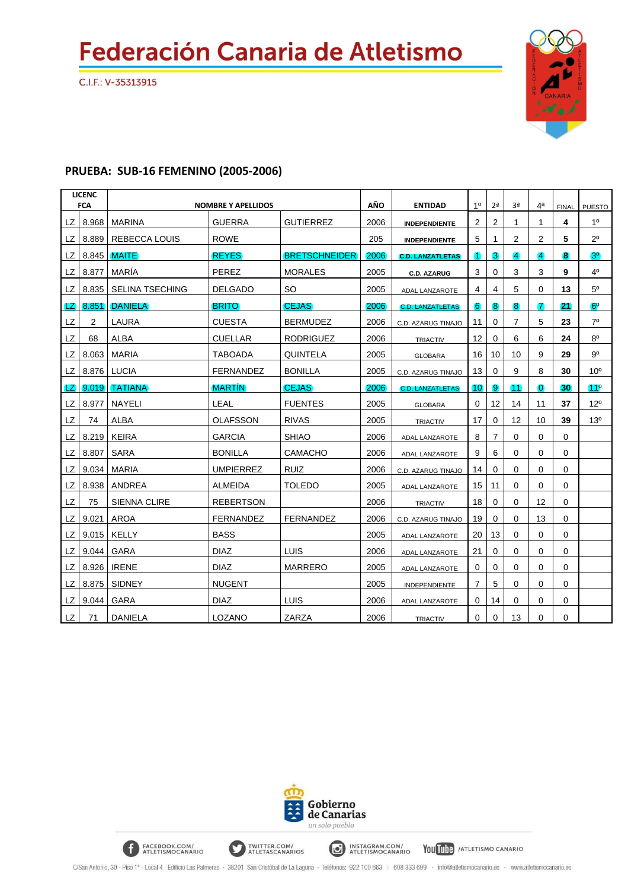C.I.F.: V-35313915



#### **PRUEBA: SUB-16 FEMENINO (2005-2006)**

FACEBOOK.COM/<br>ATLETISMOCANARIO

|           | <b>LICENC</b><br><b>FCA</b> |                        | <b>NOMBRE Y APELLIDOS</b> |                      | AÑO  | <b>ENTIDAD</b>          | 10              | 2 <sup>a</sup> | 3 <sup>a</sup>  | 4 <sup>a</sup> | <b>FINAL</b> | <b>PUESTO</b>   |
|-----------|-----------------------------|------------------------|---------------------------|----------------------|------|-------------------------|-----------------|----------------|-----------------|----------------|--------------|-----------------|
| LZ        | 8.968                       | <b>MARINA</b>          | <b>GUERRA</b>             | <b>GUTIERREZ</b>     | 2006 | <b>INDEPENDIENTE</b>    | 2               | 2              | 1               | 1              | 4            | 1 <sup>0</sup>  |
| LZ        | 8.889                       | <b>REBECCA LOUIS</b>   | <b>ROWE</b>               |                      | 205  | <b>INDEPENDIENTE</b>    | 5               | 1              | 2               | 2              | 5            | $2^{\circ}$     |
| LZ        | 8.845                       | <b>MAITE</b>           | <b>REYES</b>              | <b>BRETSCHNEIDER</b> | 2006 | <b>C.D. LANZATLETAS</b> | 1               | 3              | $\vert 4 \vert$ | $\overline{4}$ | 8            | 3 <sup>o</sup>  |
| LZ        | 8.877                       | MARÍA                  | PEREZ                     | <b>MORALES</b>       | 2005 | <b>C.D. AZARUG</b>      | 3               | 0              | 3               | 3              | 9            | 4°              |
| LZ        | 8.835                       | <b>SELINA TSECHING</b> | <b>DELGADO</b>            | <b>SO</b>            | 2005 | ADAL LANZAROTE          | 4               | 4              | 5               | 0              | 13           | 5 <sup>0</sup>  |
| LΖ        | 8.851                       | <b>DANIELA</b>         | <b>BRITO</b>              | <b>CEJAS</b>         | 2006 | <b>C.D. LANZATLETAS</b> | 6               | 8              | $\bf{8}$        | 7              | 21           | $6^{\circ}$     |
| LZ        | 2                           | LAURA                  | <b>CUESTA</b>             | <b>BERMUDEZ</b>      | 2006 | C.D. AZARUG TINAJO      | 11              | $\Omega$       | 7               | 5              | 23           | 7 <sup>0</sup>  |
| LZ        | 68                          | <b>ALBA</b>            | <b>CUELLAR</b>            | <b>RODRIGUEZ</b>     | 2006 | <b>TRIACTIV</b>         | 12              | $\Omega$       | 6               | 6              | 24           | 8 <sup>0</sup>  |
| LZ        | 8.063                       | <b>MARIA</b>           | <b>TABOADA</b>            | <b>QUINTELA</b>      | 2005 | <b>GLOBARA</b>          | 16              | 10             | 10              | 9              | 29           | $9^{\circ}$     |
| LZ        | 8.876                       | LUCIA                  | <b>FERNANDEZ</b>          | <b>BONILLA</b>       | 2005 | C.D. AZARUG TINAJO      | 13              | $\Omega$       | 9               | 8              | 30           | 10 <sup>o</sup> |
| LZ        | 9.019                       | <b>TATIANA</b>         | <b>MARTÍN</b>             | <b>CEJAS</b>         | 2006 | <b>C.D. LANZATLETAS</b> | 10 <sup>1</sup> | 9              | 11              | $\overline{0}$ | 30           | $11^{\circ}$    |
| LZ        | 8.977                       | <b>NAYELI</b>          | LEAL                      | <b>FUENTES</b>       | 2005 | <b>GLOBARA</b>          | $\Omega$        | 12             | 14              | 11             | 37           | 12°             |
| <b>LZ</b> | 74                          | <b>ALBA</b>            | <b>OLAFSSON</b>           | <b>RIVAS</b>         | 2005 | <b>TRIACTIV</b>         | 17              | $\Omega$       | 12              | 10             | 39           | 13 <sup>°</sup> |
| LZ        | 8.219                       | <b>KEIRA</b>           | <b>GARCIA</b>             | <b>SHIAO</b>         | 2006 | ADAL LANZAROTE          | 8               | $\overline{7}$ | 0               | 0              | 0            |                 |
| LZ        | 8.807                       | <b>SARA</b>            | <b>BONILLA</b>            | <b>CAMACHO</b>       | 2006 | ADAL LANZAROTE          | 9               | 6              | 0               | 0              | $\Omega$     |                 |
| LZ        | 9.034                       | <b>MARIA</b>           | <b>UMPIERREZ</b>          | <b>RUIZ</b>          | 2006 | C.D. AZARUG TINAJO      | 14              | $\Omega$       | 0               | 0              | 0            |                 |
| LZ        | 8.938                       | <b>ANDREA</b>          | <b>ALMEIDA</b>            | <b>TOLEDO</b>        | 2005 | ADAL LANZAROTE          | 15              | 11             | 0               | 0              | 0            |                 |
| <b>LZ</b> | 75                          | SIENNA CLIRE           | <b>REBERTSON</b>          |                      | 2006 | <b>TRIACTIV</b>         | 18              | 0              | 0               | 12             | 0            |                 |
| LZ        | 9.021                       | <b>AROA</b>            | <b>FERNANDEZ</b>          | <b>FERNANDEZ</b>     | 2006 | C.D. AZARUG TINAJO      | 19              | 0              | 0               | 13             | 0            |                 |
| LZ        | 9.015                       | KELLY                  | <b>BASS</b>               |                      | 2005 | ADAL LANZAROTE          | 20              | 13             | 0               | 0              | $\Omega$     |                 |
| LZ        | 9.044                       | <b>GARA</b>            | <b>DIAZ</b>               | <b>LUIS</b>          | 2006 | ADAL LANZAROTE          | 21              | $\Omega$       | 0               | 0              | $\Omega$     |                 |
| LZ        | 8.926                       | <b>IRENE</b>           | <b>DIAZ</b>               | <b>MARRERO</b>       | 2005 | ADAL LANZAROTE          | $\Omega$        | $\Omega$       | $\Omega$        | 0              | $\Omega$     |                 |
| LZ        | 8.875                       | <b>SIDNEY</b>          | <b>NUGENT</b>             |                      | 2005 | INDEPENDIENTE           | 7               | 5              | 0               | 0              | $\Omega$     |                 |
| LZ        | 9.044                       | <b>GARA</b>            | <b>DIAZ</b>               | LUIS                 | 2006 | ADAL LANZAROTE          | 0               | 14             | 0               | 0              | 0            |                 |
| <b>LZ</b> | 71                          | <b>DANIELA</b>         | LOZANO                    | ZARZA                | 2006 | TRIACTIV                | $\Omega$        | $\Omega$       | 13              | 0              | $\Omega$     |                 |



INSTAGRAM.COM/<br>ATLETISMOCANARIO

You Tube / ATLETISMO CANARIO

TWITTER.COM/<br>ATLETASCANARIOS

C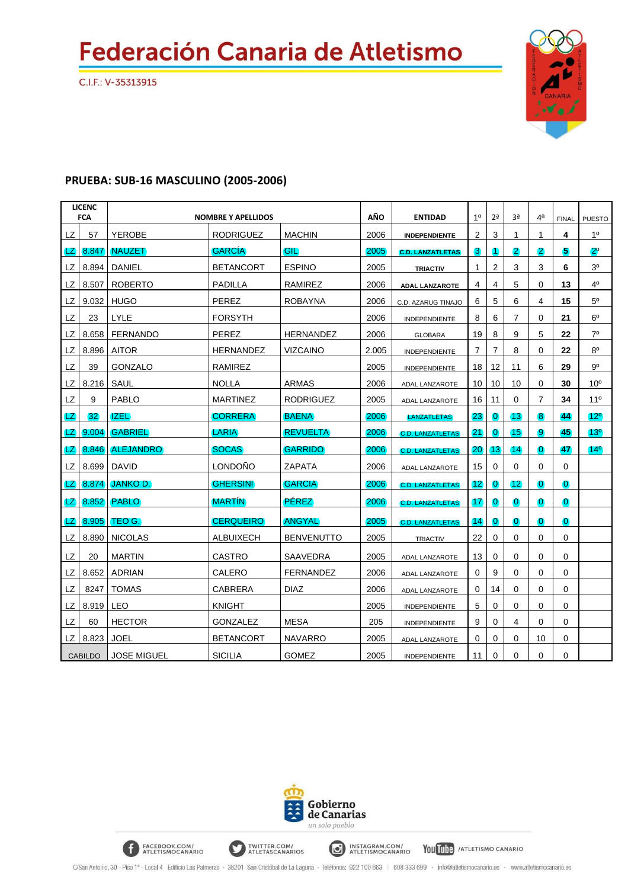C.I.F.: V-35313915



#### **PRUEBA: SUB-16 MASCULINO (2005-2006)**

FACEBOOK.COM/

|           | <b>LICENC</b><br><b>FCA</b> |                    | <b>NOMBRE Y APELLIDOS</b> |                   | AÑO   | <b>ENTIDAD</b>          | 1 <sup>0</sup> | 2 <sup>a</sup> | 3ª                 | 4 <sup>a</sup> | <b>FINAL</b>   | <b>PUESTO</b>   |
|-----------|-----------------------------|--------------------|---------------------------|-------------------|-------|-------------------------|----------------|----------------|--------------------|----------------|----------------|-----------------|
| <b>LZ</b> | 57                          | <b>YEROBE</b>      | <b>RODRIGUEZ</b>          | <b>MACHIN</b>     | 2006  | <b>INDEPENDIENTE</b>    | 2              | 3              | 1                  | 1              | 4              | 1 <sup>0</sup>  |
| LZ        | 8.847                       | <b>NAUZET</b>      | <b>GARCIA</b>             | GILI              | 2005  | <b>C.D. LANZATLETAS</b> | 3              | 1              | $\mathbf{2}$       | $\mathbf{2}$   | 5              | $2^{\circ}$     |
| LZ        | 8.894                       | DANIEL             | <b>BETANCORT</b>          | <b>ESPINO</b>     | 2005  | <b>TRIACTIV</b>         | 1              | 2              | 3                  | 3              | 6              | 3 <sup>0</sup>  |
| LZ        | 8.507                       | <b>ROBERTO</b>     | <b>PADILLA</b>            | RAMIREZ           | 2006  | <b>ADAL LANZAROTE</b>   | 4              | 4              | 5                  | $\Omega$       | 13             | 40              |
| LZ        | 9.032                       | <b>HUGO</b>        | PEREZ                     | <b>ROBAYNA</b>    | 2006  | C.D. AZARUG TINAJO      | 6              | 5              | 6                  | 4              | 15             | $5^{\circ}$     |
| LZ        | 23                          | LYLE               | <b>FORSYTH</b>            |                   | 2006  | <b>INDEPENDIENTE</b>    | 8              | 6              | 7                  | 0              | 21             | $6^{\circ}$     |
| <b>LZ</b> | 8.658                       | <b>FERNANDO</b>    | <b>PEREZ</b>              | <b>HERNANDEZ</b>  | 2006  | <b>GLOBARA</b>          | 19             | 8              | 9                  | 5              | 22             | 7 <sup>0</sup>  |
| LZ        | 8.896                       | <b>AITOR</b>       | <b>HERNANDEZ</b>          | <b>VIZCAINO</b>   | 2.005 | <b>INDEPENDIENTE</b>    | 7              | $\overline{7}$ | 8                  | 0              | 22             | $8^{\circ}$     |
| LZ        | 39                          | GONZALO            | RAMIREZ                   |                   | 2005  | INDEPENDIENTE           | 18             | 12             | 11                 | 6              | 29             | 90              |
| LZ        | 8.216                       | SAUL               | <b>NOLLA</b>              | <b>ARMAS</b>      | 2006  | <b>ADAL LANZAROTE</b>   | 10             | 10             | 10                 | $\mathbf 0$    | 30             | 10 <sup>o</sup> |
| LZ        | 9                           | <b>PABLO</b>       | <b>MARTINEZ</b>           | <b>RODRIGUEZ</b>  | 2005  | ADAL LANZAROTE          | 16             | 11             | 0                  | 7              | 34             | $11^{\circ}$    |
| LZ.       | 32 <sub>2</sub>             | 1ZEL)              | <b>CORRERA</b>            | <b>BAENA</b>      | 2006  | <b>LANZATLETAS</b>      | 23             | $\overline{0}$ | 13                 | $\bf{8}$       | 44             | $12^{\circ}$    |
| LZ        | 9.004                       | <b>GABRIEL</b>     | <b>LARIA</b>              | <b>REVUELTA</b>   | 2006  | <b>C.D. LANZATLETAS</b> | (21)           | $\bf{O}$       | $\vert 15 \rangle$ | 9              | 45             | 13 <sup>o</sup> |
| LZ)       | 8.846                       | <b>ALEJANDRO</b>   | <b>SOCAS</b>              | <b>GARRIDO</b>    | 2006  | <b>C.D. LANZATLETAS</b> | 20             | $ 13\rangle$   | (14)               | $\overline{0}$ | 47             | 14 <sup>o</sup> |
| LZ        | 8.699                       | <b>DAVID</b>       | <b>LONDOÑO</b>            | <b>ZAPATA</b>     | 2006  | ADAL LANZAROTE          | 15             | 0              | 0                  | 0              | $\mathbf 0$    |                 |
| LZ.       | 8.874                       | <b>JANKO D.</b>    | <b>GHERSINI</b>           | <b>GARCIA</b>     | 2006  | <b>C.D. LANZATLETAS</b> | $12^{\circ}$   | $\overline{0}$ | 12                 | $\bf{0}$       | $\overline{0}$ |                 |
| LZ        | 8.852                       | <b>PABLO</b>       | <b>MARTIN</b>             | <b>PÉREZ</b>      | 2006  | <b>C.D. LANZATLETAS</b> | 17             | $\overline{0}$ | $\overline{0}$     | $\overline{0}$ | $\overline{0}$ |                 |
| LZ.       | 8.905                       | TEO G.             | <b>CERQUEIRO</b>          | <b>ANGYAL</b>     | 2005  | <b>C.D. LANZATLETAS</b> | 14             | $\overline{0}$ | $\bf{0}$           | $\overline{0}$ | $\overline{0}$ |                 |
| LZ        | 8.890                       | <b>NICOLAS</b>     | ALBUIXECH                 | <b>BENVENUTTO</b> | 2005  | <b>TRIACTIV</b>         | 22             | 0              | 0                  | 0              | 0              |                 |
| LZ        | 20                          | <b>MARTIN</b>      | <b>CASTRO</b>             | <b>SAAVEDRA</b>   | 2005  | ADAL LANZAROTE          | 13             | 0              | 0                  | 0              | 0              |                 |
| LZ        | 8.652                       | <b>ADRIAN</b>      | CALERO                    | <b>FERNANDEZ</b>  | 2006  | ADAL LANZAROTE          | 0              | 9              | 0                  | 0              | $\mathbf 0$    |                 |
| LZ        | 8247                        | <b>TOMAS</b>       | <b>CABRERA</b>            | <b>DIAZ</b>       | 2006  | ADAL LANZAROTE          | $\Omega$       | 14             | 0                  | $\Omega$       | $\Omega$       |                 |
| LZ        | 8.919                       | LEO                | <b>KNIGHT</b>             |                   | 2005  | INDEPENDIENTE           | 5              | 0              | 0                  | 0              | 0              |                 |
| LZ        | 60                          | <b>HECTOR</b>      | <b>GONZALEZ</b>           | <b>MESA</b>       | 205   | INDEPENDIENTE           | 9              | 0              | 4                  | $\Omega$       | 0              |                 |
| 17        | 8.823                       | <b>JOEL</b>        | <b>BETANCORT</b>          | <b>NAVARRO</b>    | 2005  | ADAL LANZAROTE          | $\Omega$       | 0              | 0                  | 10             | 0              |                 |
|           | <b>CABILDO</b>              | <b>JOSE MIGUEL</b> | <b>SICILIA</b>            | <b>GOMEZ</b>      | 2005  | INDEPENDIENTE           | 11             | 0              | 0                  | 0              | 0              |                 |



INSTAGRAM.COM/<br>ATLETISMOCANARIO

You Tube / ATLETISMO CANARIO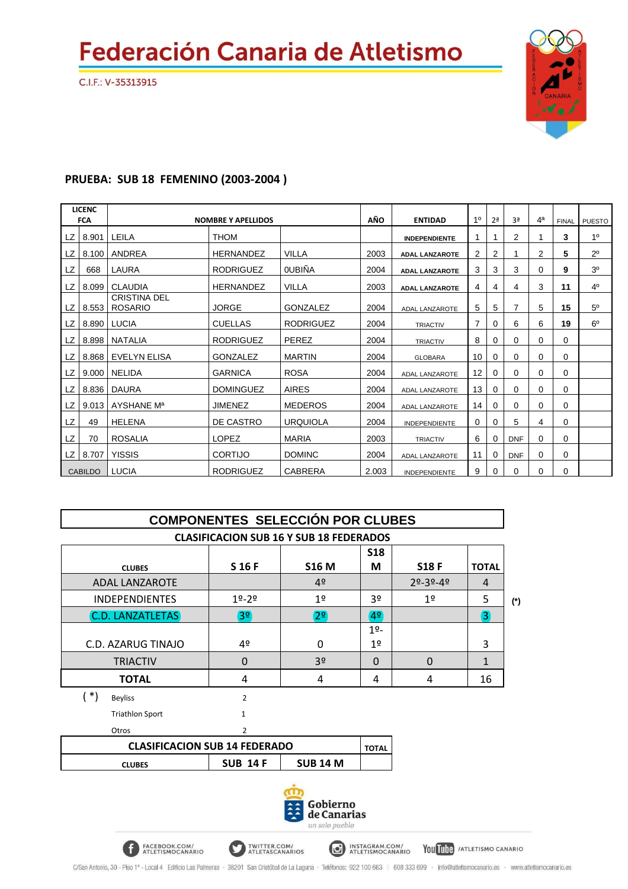C.I.F.: V-35313915



#### **PRUEBA: SUB 18 FEMENINO (2003-2004 )**

FACEBOOK.COM/<br>ATLETISMOCANARIO

|           | <b>LICENC</b><br><b>FCA</b> |                                       | <b>NOMBRE Y APELLIDOS</b> |                  | AÑO   | <b>ENTIDAD</b>        | 10 | 2 <sup>a</sup> | 3 <sup>a</sup> | 4 <sup>a</sup> | <b>FINAL</b> | <b>PUESTO</b>  |
|-----------|-----------------------------|---------------------------------------|---------------------------|------------------|-------|-----------------------|----|----------------|----------------|----------------|--------------|----------------|
| LZ        | 8.901                       | LEILA                                 | <b>THOM</b>               |                  |       | <b>INDEPENDIENTE</b>  | 1  |                | 2              |                | 3            | 10             |
| LZ.       | 8.100                       | ANDREA                                | <b>HERNANDEZ</b>          | <b>VILLA</b>     | 2003  | <b>ADAL LANZAROTE</b> | 2  | 2              |                | 2              | 5            | $2^{\circ}$    |
| <b>LZ</b> | 668                         | LAURA                                 | <b>RODRIGUEZ</b>          | <b>OUBIÑA</b>    | 2004  | <b>ADAL LANZAROTE</b> | 3  | 3              | 3              | 0              | 9            | 3 <sup>0</sup> |
| LZ        | 8.099                       | <b>CLAUDIA</b>                        | <b>HERNANDEZ</b>          | <b>VILLA</b>     | 2003  | <b>ADAL LANZAROTE</b> | 4  | 4              | 4              | 3              | 11           | 4 <sup>0</sup> |
| LZ.       | 8.553                       | <b>CRISTINA DEL</b><br><b>ROSARIO</b> | <b>JORGE</b>              | <b>GONZALEZ</b>  | 2004  | ADAL LANZAROTE        | 5  | 5              | 7              | 5              | 15           | 5 <sup>0</sup> |
| LZ        | 8.890                       | <b>LUCIA</b>                          | <b>CUELLAS</b>            | <b>RODRIGUEZ</b> | 2004  | <b>TRIACTIV</b>       | 7  | 0              | 6              | 6              | 19           | 6 <sup>o</sup> |
| LZ        | 8.898                       | <b>NATALIA</b>                        | <b>RODRIGUEZ</b>          | PEREZ            | 2004  | <b>TRIACTIV</b>       | 8  | 0              | 0              | 0              | $\Omega$     |                |
| LZ        | 8.868                       | EVELYN ELISA                          | GONZALEZ                  | <b>MARTIN</b>    | 2004  | <b>GLOBARA</b>        | 10 | 0              | 0              | 0              | $\Omega$     |                |
| LZ        | 9.000                       | <b>NELIDA</b>                         | <b>GARNICA</b>            | <b>ROSA</b>      | 2004  | <b>ADAL LANZAROTE</b> | 12 | $\Omega$       | 0              | 0              | $\Omega$     |                |
| LZ        | 8.836                       | <b>DAURA</b>                          | <b>DOMINGUEZ</b>          | <b>AIRES</b>     | 2004  | <b>ADAL LANZAROTE</b> | 13 | 0              | 0              | 0              | $\Omega$     |                |
| LZ        | 9.013                       | AYSHANE M <sup>a</sup>                | <b>JIMENEZ</b>            | <b>MEDEROS</b>   | 2004  | ADAL LANZAROTE        | 14 | 0              | 0              | 0              | $\Omega$     |                |
| LZ        | 49                          | <b>HELENA</b>                         | DE CASTRO                 | <b>URQUIOLA</b>  | 2004  | <b>INDEPENDIENTE</b>  | 0  | $\Omega$       | 5              | 4              | $\Omega$     |                |
| LZ        | 70                          | <b>ROSALIA</b>                        | LOPEZ                     | <b>MARIA</b>     | 2003  | <b>TRIACTIV</b>       | 6  | 0              | <b>DNF</b>     | 0              | $\Omega$     |                |
| LZ        | 8.707                       | <b>YISSIS</b>                         | <b>CORTIJO</b>            | <b>DOMINC</b>    | 2004  | <b>ADAL LANZAROTE</b> | 11 | 0              | <b>DNF</b>     | 0              | 0            |                |
|           | <b>CABILDO</b>              | <b>LUCIA</b>                          | <b>RODRIGUEZ</b>          | <b>CABRERA</b>   | 2.003 | INDEPENDIENTE         | 9  | 0              | 0              | 0              | $\Omega$     |                |

| <b>COMPONENTES SELECCIÓN POR CLUBES</b>        |                 |                     |                |                |                  |       |  |  |  |  |  |  |  |
|------------------------------------------------|-----------------|---------------------|----------------|----------------|------------------|-------|--|--|--|--|--|--|--|
| <b>CLASIFICACION SUB 16 Y SUB 18 FEDERADOS</b> |                 |                     |                |                |                  |       |  |  |  |  |  |  |  |
|                                                |                 |                     | <b>S18</b>     |                |                  |       |  |  |  |  |  |  |  |
| <b>CLUBES</b>                                  | S 16 F          | <b>S16 M</b>        | M              | <b>S18 F</b>   | <b>TOTAL</b>     |       |  |  |  |  |  |  |  |
| <b>ADAL LANZAROTE</b>                          |                 | 4 <sup>°</sup>      |                | $29 - 39 - 49$ | 4                |       |  |  |  |  |  |  |  |
| <b>INDEPENDIENTES</b>                          | $19 - 29$       | 1 <sup>°</sup>      | 3 <sup>o</sup> | 1 <sup>°</sup> | 5                | $(*)$ |  |  |  |  |  |  |  |
| <b>C.D. LANZATLETAS</b>                        | 3 <sup>o</sup>  | $\boxed{2^{\circ}}$ | $ 4^{\circ} $  |                | $\left(3\right)$ |       |  |  |  |  |  |  |  |
|                                                |                 |                     | $19 -$         |                |                  |       |  |  |  |  |  |  |  |
| C.D. AZARUG TINAJO                             | 4º              | 0                   | 1 <sup>°</sup> |                | 3                |       |  |  |  |  |  |  |  |
| <b>TRIACTIV</b>                                | $\overline{0}$  | 3 <sup>o</sup>      | $\Omega$       | $\Omega$       | $\mathbf{1}$     |       |  |  |  |  |  |  |  |
| <b>TOTAL</b>                                   | 4               | 4                   | 4              | 4              | 16               |       |  |  |  |  |  |  |  |
| $(*)$<br><b>Beyliss</b>                        | $\overline{2}$  |                     |                |                |                  |       |  |  |  |  |  |  |  |
| <b>Triathlon Sport</b>                         | $\mathbf{1}$    |                     |                |                |                  |       |  |  |  |  |  |  |  |
| Otros                                          | $\overline{2}$  |                     |                |                |                  |       |  |  |  |  |  |  |  |
| <b>CLASIFICACION SUB 14 FEDERADO</b>           |                 |                     | <b>TOTAL</b>   |                |                  |       |  |  |  |  |  |  |  |
| <b>CLUBES</b>                                  | <b>SUB 14 F</b> | <b>SUB 14 M</b>     |                |                |                  |       |  |  |  |  |  |  |  |
| Gobierno<br>de Canarias<br>un solo pueblo      |                 |                     |                |                |                  |       |  |  |  |  |  |  |  |

INSTAGRAM.COM/<br>ATLETISMOCANARIO

You Tube / ATLETISMO CANARIO